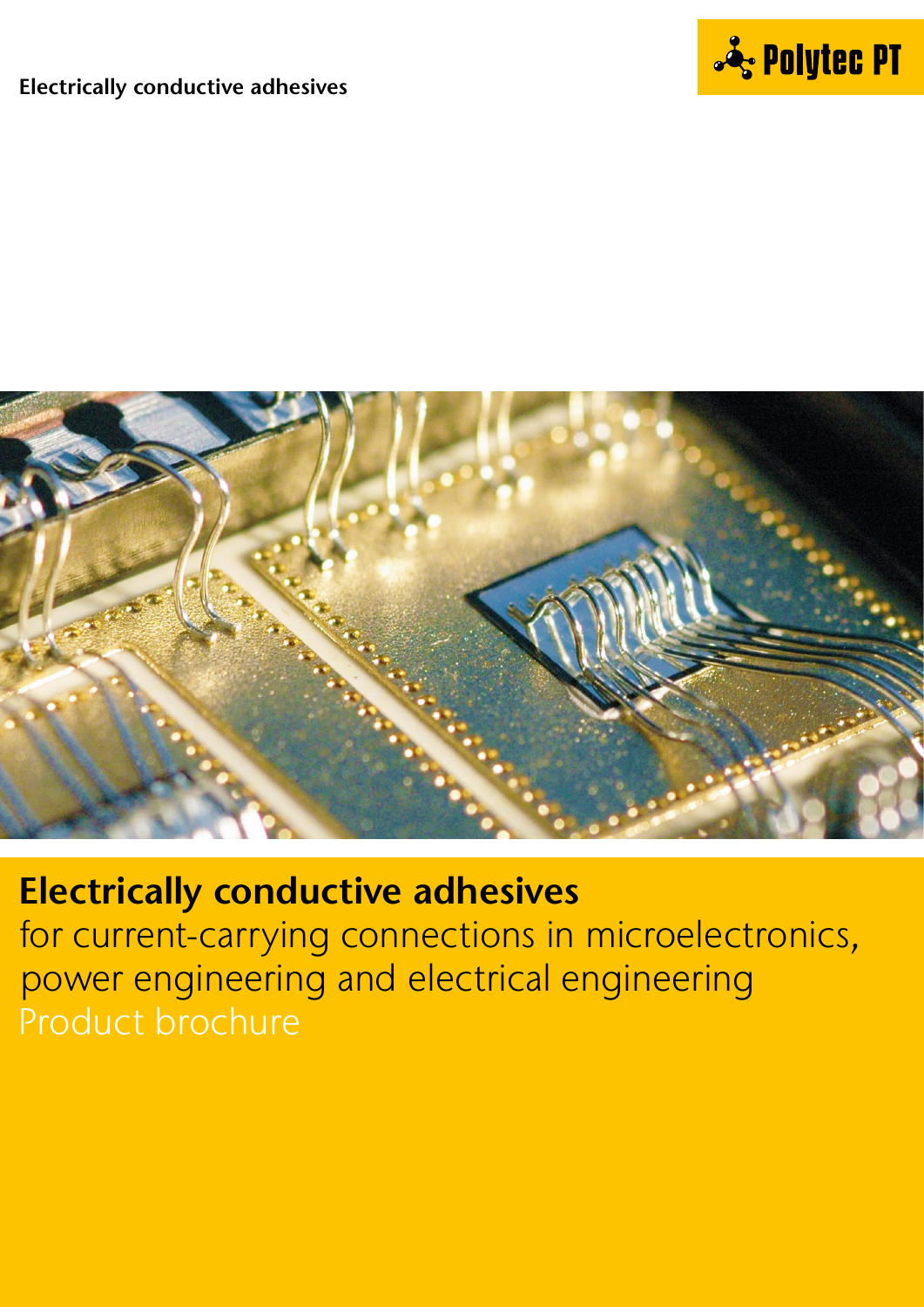

### **Electrically conductive adhesives**



# **Electrically conductive adhesives**

for current-carrying connections in microelectronics, power engineering and electrical engineering Product brochure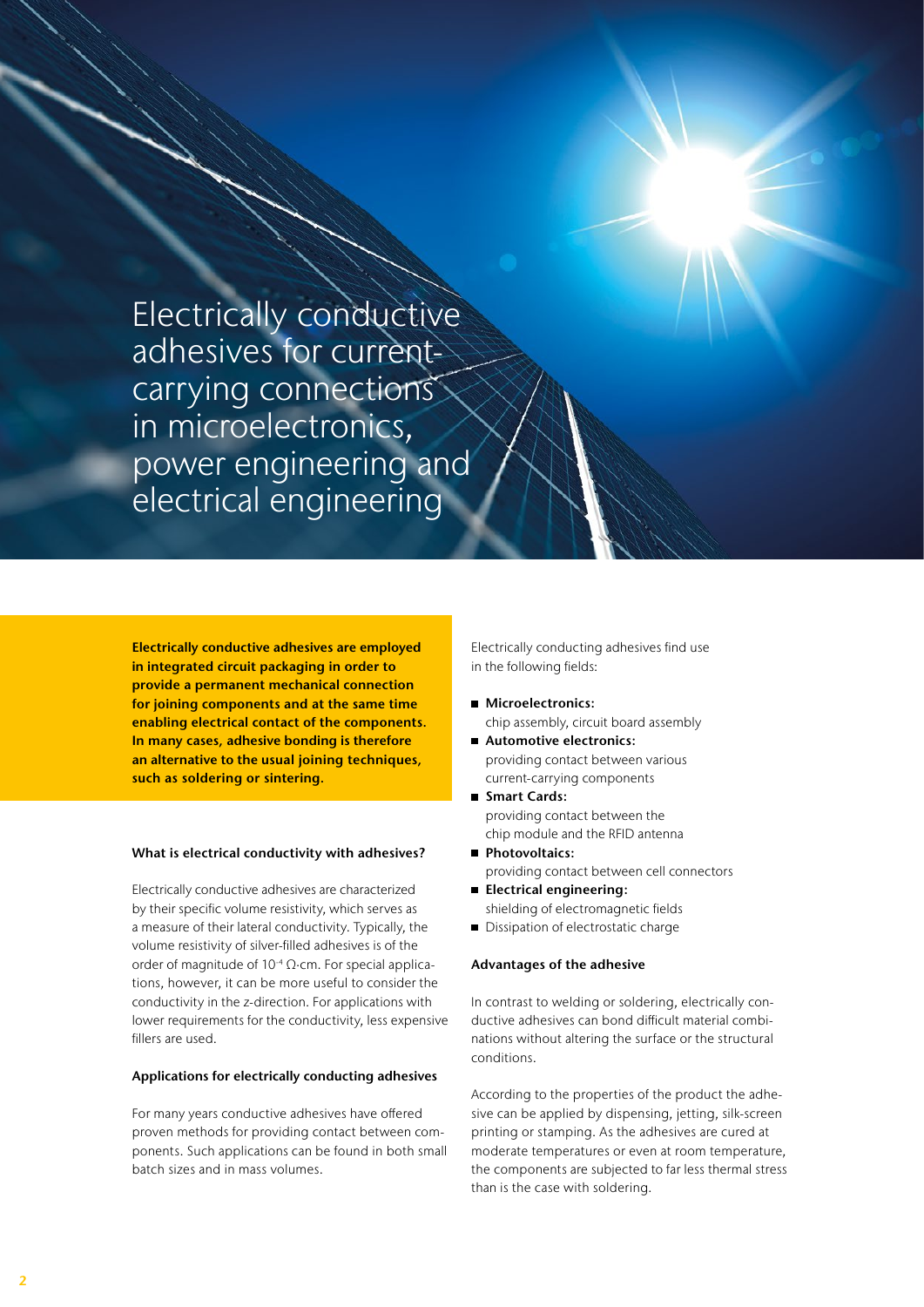Electrically conductive adhesives for currentcarrying connections in microelectronics, power engineering and electrical engineering

**Electrically conductive adhesives are employed in integrated circuit packaging in order to provide a permanent mechanical connection for joining components and at the same time enabling electrical contact of the components. In many cases, adhesive bonding is therefore an alternative to the usual joining techniques, such as soldering or sintering.**

#### **What is electrical conductivity with adhesives?**

Electrically conductive adhesives are characterized by their specific volume resistivity, which serves as a measure of their lateral conductivity. Typically, the volume resistivity of silver-filled adhesives is of the order of magnitude of 10-4 Ω∙cm. For special applications, however, it can be more useful to consider the conductivity in the z-direction. For applications with lower requirements for the conductivity, less expensive fillers are used.

#### **Applications for electrically conducting adhesives**

For many years conductive adhesives have offered proven methods for providing contact between components. Such applications can be found in both small batch sizes and in mass volumes.

Electrically conducting adhesives find use in the following fields:

- **Microelectronics:** chip assembly, circuit board assembly
- **Automotive electronics:** providing contact between various current-carrying components
- **Smart Cards:** providing contact between the chip module and the RFID antenna
- **Photovoltaics:** providing contact between cell connectors
- **Electrical engineering:** shielding of electromagnetic fields
- Dissipation of electrostatic charge

#### **Advantages of the adhesive**

In contrast to welding or soldering, electrically conductive adhesives can bond difficult material combinations without altering the surface or the structural conditions.

According to the properties of the product the adhesive can be applied by dispensing, jetting, silk-screen printing or stamping. As the adhesives are cured at moderate temperatures or even at room temperature, the components are subjected to far less thermal stress than is the case with soldering.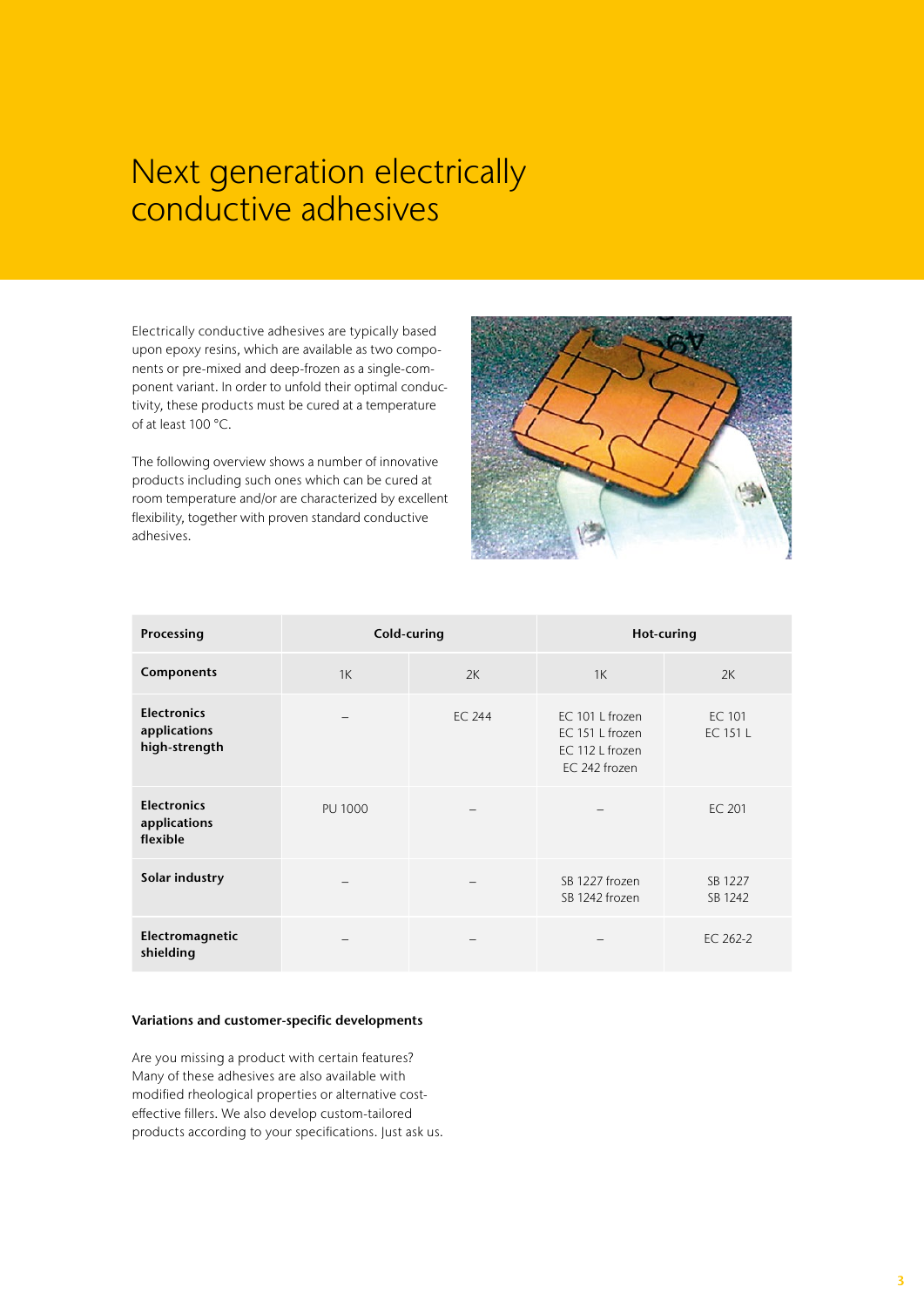### Next generation electrically conductive adhesives

Electrically conductive adhesives are typically based upon epoxy resins, which are available as two components or pre-mixed and deep-frozen as a single-component variant. In order to unfold their optimal conductivity, these products must be cured at a temperature of at least 100 °C.

The following overview shows a number of innovative products including such ones which can be cured at room temperature and/or are characterized by excellent flexibility, together with proven standard conductive adhesives.



| Processing                                          | Cold-curing    |               | Hot-curing                                                             |                    |  |  |  |
|-----------------------------------------------------|----------------|---------------|------------------------------------------------------------------------|--------------------|--|--|--|
| Components                                          | 1K             | 2K            | 1K                                                                     | 2K                 |  |  |  |
| <b>Electronics</b><br>applications<br>high-strength |                | <b>EC 244</b> | EC 101 L frozen<br>EC 151 L frozen<br>EC 112 L frozen<br>EC 242 frozen | EC 101<br>EC 151 L |  |  |  |
| <b>Electronics</b><br>applications<br>flexible      | <b>PU 1000</b> |               |                                                                        | EC 201             |  |  |  |
| Solar industry                                      |                |               | SB 1227 frozen<br>SB 1242 frozen                                       | SB 1227<br>SB 1242 |  |  |  |
| Electromagnetic<br>shielding                        |                |               |                                                                        | EC 262-2           |  |  |  |

### **Variations and customer-specific developments**

Are you missing a product with certain features? Many of these adhesives are also available with modified rheological properties or alternative costeffective fillers. We also develop custom-tailored products according to your specifications. Just ask us.